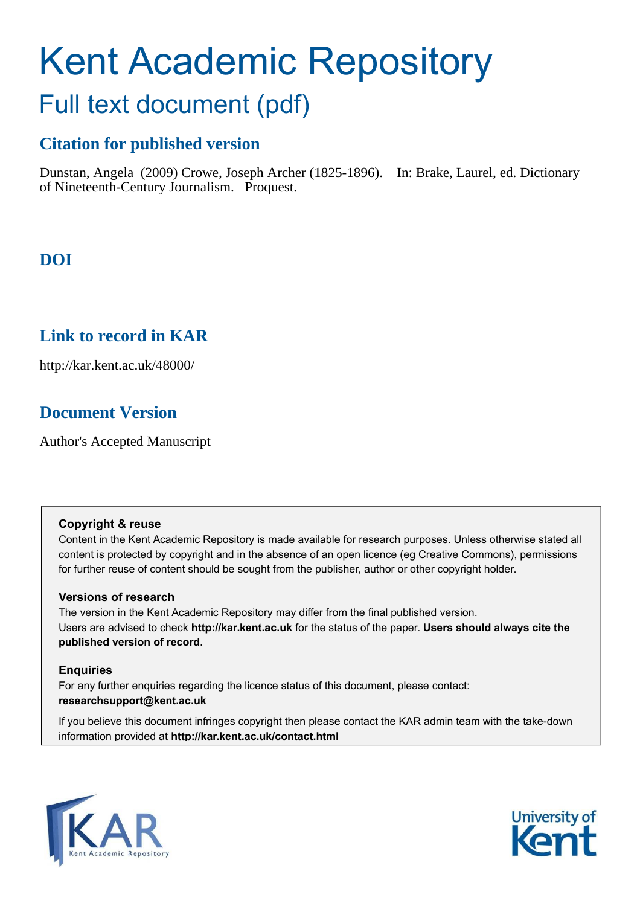# Kent Academic Repository Full text document (pdf)

## **Citation for published version**

Dunstan, Angela (2009) Crowe, Joseph Archer (1825-1896). In: Brake, Laurel, ed. Dictionary of Nineteenth-Century Journalism. Proquest.

# **DOI**

## **Link to record in KAR**

http://kar.kent.ac.uk/48000/

## **Document Version**

Author's Accepted Manuscript

### **Copyright & reuse**

Content in the Kent Academic Repository is made available for research purposes. Unless otherwise stated all content is protected by copyright and in the absence of an open licence (eg Creative Commons), permissions for further reuse of content should be sought from the publisher, author or other copyright holder.

## **Versions of research**

The version in the Kent Academic Repository may differ from the final published version. Users are advised to check **http://kar.kent.ac.uk** for the status of the paper. **Users should always cite the published version of record.**

### **Enquiries**

For any further enquiries regarding the licence status of this document, please contact: **researchsupport@kent.ac.uk**

If you believe this document infringes copyright then please contact the KAR admin team with the take-down information provided at **http://kar.kent.ac.uk/contact.html**